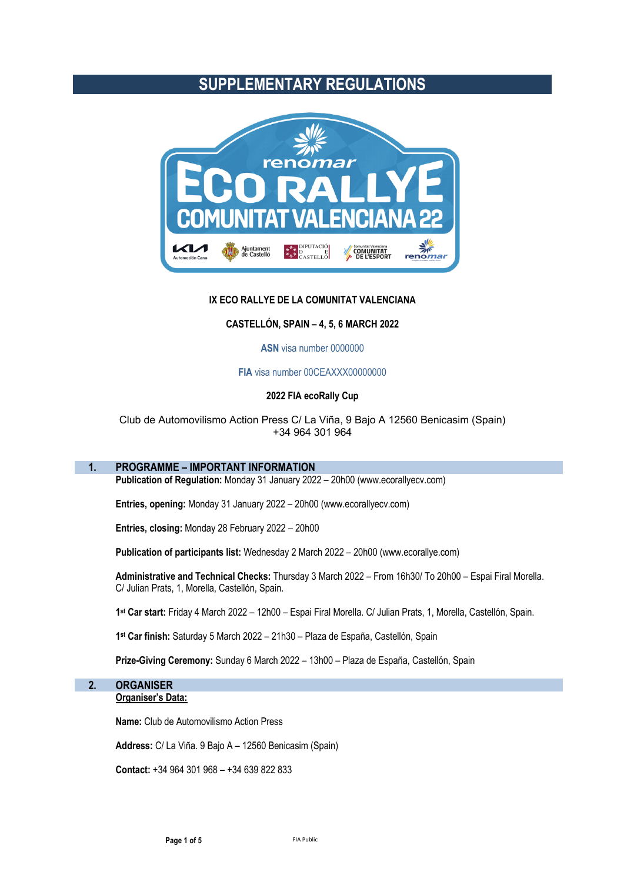## **SUPPLEMENTARY REGULATIONS**



## **IX ECO RALLYE DE LA COMUNITAT VALENCIANA**

### **CASTELLÓN, SPAIN – 4, 5, 6 MARCH 2022**

#### **ASN** visa number 0000000

## **FIA** visa number 00CEAXXX00000000

#### **2022 FIA ecoRally Cup**

## Club de Automovilismo Action Press C/ La Viña, 9 Bajo A 12560 Benicasim (Spain) +34 964 301 964

## **1. PROGRAMME – IMPORTANT INFORMATION**

**Publication of Regulation:** Monday 31 January 2022 – 20h00 (www.ecorallyecv.com)

**Entries, opening:** Monday 31 January 2022 – 20h00 (www.ecorallyecv.com)

**Entries, closing:** Monday 28 February 2022 – 20h00

**Publication of participants list:** Wednesday 2 March 2022 – 20h00 (www.ecorallye.com)

**Administrative and Technical Checks:** Thursday 3 March 2022 – From 16h30/ To 20h00 – Espai Firal Morella. C/ Julian Prats, 1, Morella, Castellón, Spain.

**1st Car start:** Friday 4 March 2022 – 12h00 – Espai Firal Morella. C/ Julian Prats, 1, Morella, Castellón, Spain.

**1st Car finish:** Saturday 5 March 2022 – 21h30 – Plaza de España, Castellón, Spain

**Prize-Giving Ceremony:** Sunday 6 March 2022 – 13h00 – Plaza de España, Castellón, Spain

## **2. ORGANISER**

## **Organiser's Data:**

**Name:** Club de Automovilismo Action Press

**Address:** C/ La Viña. 9 Bajo A – 12560 Benicasim (Spain)

**Contact:** +34 964 301 968 – +34 639 822 833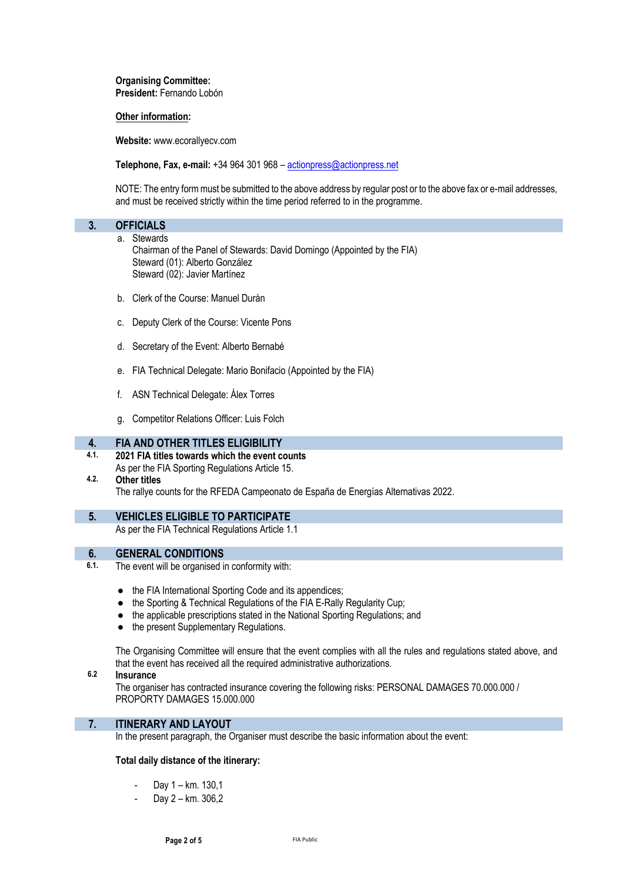**Organising Committee: President:** Fernando Lobón

## **Other information:**

**Website:** www.ecorallyecv.com

**Telephone, Fax, e-mail:** +34 964 301 968 – actionpress@actionpress.net

NOTE: The entry form must be submitted to the above address by regular post or to the above fax or e-mail addresses, and must be received strictly within the time period referred to in the programme.

| <b>OFFICIALS</b> |                                                                         |
|------------------|-------------------------------------------------------------------------|
|                  | a. Stewards                                                             |
|                  | Chairman of the Panel of Stewards: David Domingo (Appointed by the FIA) |
|                  | Steward (01): Alberto González                                          |

- Steward (02): Javier Martínez
- b. Clerk of the Course: Manuel Durán
- c. Deputy Clerk of the Course: Vicente Pons
- d. Secretary of the Event: Alberto Bernabé
- e. FIA Technical Delegate: Mario Bonifacio (Appointed by the FIA)
- f. ASN Technical Delegate: Álex Torres
- g. Competitor Relations Officer: Luis Folch

## **4. FIA AND OTHER TITLES ELIGIBILITY**

**4.1. 2021 FIA titles towards which the event counts** As per the FIA Sporting Regulations Article 15.

## **4.2. Other titles** The rallye counts for the RFEDA Campeonato de España de Energías Alternativas 2022.

**5. VEHICLES ELIGIBLE TO PARTICIPATE**

As per the FIA Technical Regulations Article 1.1

# **6. GENERAL CONDITIONS**<br>**6.1.** The event will be organised in

- The event will be organised in conformity with:
	- the FIA International Sporting Code and its appendices;
	- the Sporting & Technical Regulations of the FIA E-Rally Regularity Cup;
	- the applicable prescriptions stated in the National Sporting Regulations; and
	- the present Supplementary Regulations.

The Organising Committee will ensure that the event complies with all the rules and regulations stated above, and that the event has received all the required administrative authorizations.

## **6.2 Insurance**

The organiser has contracted insurance covering the following risks: PERSONAL DAMAGES 70.000.000 / PROPORTY DAMAGES 15.000.000

## **7. ITINERARY AND LAYOUT**

In the present paragraph, the Organiser must describe the basic information about the event:

## **Total daily distance of the itinerary:**

- Day 1 km. 130.1
- Day 2 km. 306,2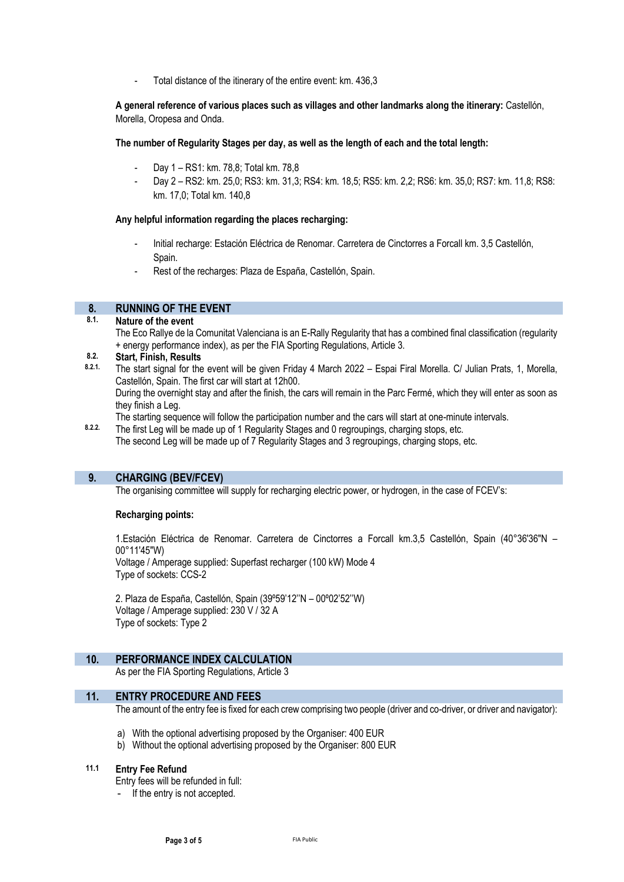Total distance of the itinerary of the entire event: km. 436,3

**A general reference of various places such as villages and other landmarks along the itinerary:** Castellón, Morella, Oropesa and Onda.

### **The number of Regularity Stages per day, as well as the length of each and the total length:**

- Day 1 RS1: km. 78,8; Total km. 78,8
- Day 2 RS2: km. 25,0; RS3: km. 31,3; RS4: km. 18,5; RS5: km. 2,2; RS6: km. 35,0; RS7: km. 11,8; RS8: km. 17,0; Total km. 140,8

#### **Any helpful information regarding the places recharging:**

- Initial recharge: Estación Eléctrica de Renomar. Carretera de Cinctorres a Forcall km. 3,5 Castellón, Spain.
- Rest of the recharges: Plaza de España, Castellón, Spain.

## **8. RUNNING OF THE EVENT**

**8.1. Nature of the event**

The Eco Rallye de la Comunitat Valenciana is an E-Rally Regularity that has a combined final classification (regularity + energy performance index), as per the FIA Sporting Regulations, Article 3.

## **8.2. Start, Finish, Results**

**8.2.1.** The start signal for the event will be given Friday 4 March 2022 – Espai Firal Morella. C/ Julian Prats, 1, Morella, Castellón, Spain. The first car will start at 12h00.

During the overnight stay and after the finish, the cars will remain in the Parc Fermé, which they will enter as soon as they finish a Leg.

The starting sequence will follow the participation number and the cars will start at one-minute intervals.

8.2.2. The first Leg will be made up of 1 Regularity Stages and 0 regroupings, charging stops, etc. The second Leg will be made up of 7 Regularity Stages and 3 regroupings, charging stops, etc.

## **9. CHARGING (BEV/FCEV)**

The organising committee will supply for recharging electric power, or hydrogen, in the case of FCEV's:

## **Recharging points:**

1.Estación Eléctrica de Renomar. Carretera de Cinctorres a Forcall km.3,5 Castellón, Spain (40°36'36"N – 00°11'45"W) Voltage / Amperage supplied: Superfast recharger (100 kW) Mode 4

Type of sockets: CCS-2

2. Plaza de España, Castellón, Spain (39º59'12''N – 00º02'52''W) Voltage / Amperage supplied: 230 V / 32 A Type of sockets: Type 2

## **10. PERFORMANCE INDEX CALCULATION**

As per the FIA Sporting Regulations, Article 3

## **11. ENTRY PROCEDURE AND FEES**

The amount of the entry fee is fixed for each crew comprising two people (driver and co-driver, or driver and navigator):

- a) With the optional advertising proposed by the Organiser: 400 EUR
- b) Without the optional advertising proposed by the Organiser: 800 EUR

#### **11.1 Entry Fee Refund**

Entry fees will be refunded in full:

If the entry is not accepted.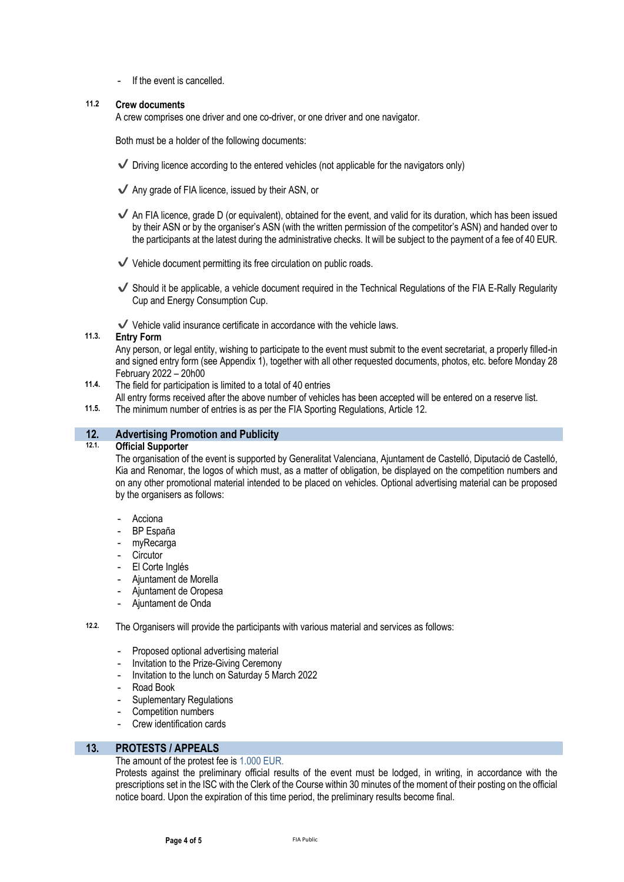If the event is cancelled.

## **11.2 Crew documents**

A crew comprises one driver and one co-driver, or one driver and one navigator.

Both must be a holder of the following documents:

- $\blacktriangledown$  Driving licence according to the entered vehicles (not applicable for the navigators only)
- $\checkmark$  Any grade of FIA licence, issued by their ASN, or
- $\blacktriangledown$  An FIA licence, grade D (or equivalent), obtained for the event, and valid for its duration, which has been issued by their ASN or by the organiser's ASN (with the written permission of the competitor's ASN) and handed over to the participants at the latest during the administrative checks. It will be subject to the payment of a fee of 40 EUR.
- $\checkmark$  Vehicle document permitting its free circulation on public roads.
- $\checkmark$  Should it be applicable, a vehicle document required in the Technical Regulations of the FIA E-Rally Regularity Cup and Energy Consumption Cup.
- $\checkmark$  Vehicle valid insurance certificate in accordance with the vehicle laws.

## **11.3. Entry Form**

Any person, or legal entity, wishing to participate to the event must submit to the event secretariat, a properly filled-in and signed entry form (see Appendix 1), together with all other requested documents, photos, etc. before Monday 28 February 2022 – 20h00

- **11.4.** The field for participation is limited to a total of 40 entries
	- All entry forms received after the above number of vehicles has been accepted will be entered on a reserve list.
- **11.5.** The minimum number of entries is as per the FIA Sporting Regulations, Article 12.

# **12. Advertising Promotion and Publicity**

#### **12.1. Official Supporter**

The organisation of the event is supported by Generalitat Valenciana, Ajuntament de Castelló, Diputació de Castelló, Kia and Renomar, the logos of which must, as a matter of obligation, be displayed on the competition numbers and on any other promotional material intended to be placed on vehicles. Optional advertising material can be proposed by the organisers as follows:

- **Acciona**
- BP España
- myRecarga
- **Circutor**
- El Corte Inglés
- Ajuntament de Morella
- Ajuntament de Oropesa
- Ajuntament de Onda

#### **12.2.** The Organisers will provide the participants with various material and services as follows:

- Proposed optional advertising material
- Invitation to the Prize-Giving Ceremony
- Invitation to the lunch on Saturday 5 March 2022
- Road Book
- Suplementary Regulations
- Competition numbers
- Crew identification cards

## **13. PROTESTS / APPEALS**

#### The amount of the protest fee is 1.000 EUR.

Protests against the preliminary official results of the event must be lodged, in writing, in accordance with the prescriptions set in the ISC with the Clerk of the Course within 30 minutes of the moment of their posting on the official notice board. Upon the expiration of this time period, the preliminary results become final.